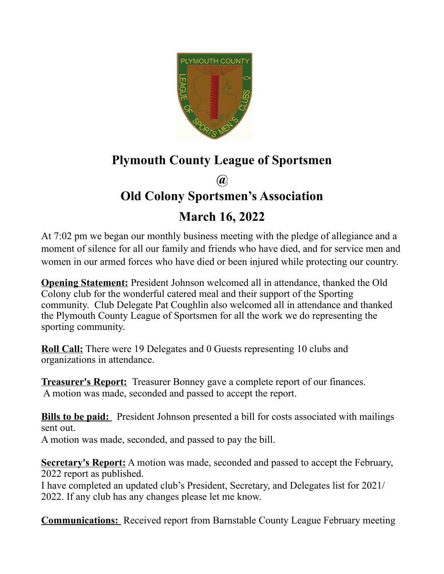

## **Plymouth County League of Sportsmen**

**@**

## **Old Colony Sportsmen's Association**

## **March 16, 2022**

At 7:02 pm we began our monthly business meeting with the pledge of allegiance and a moment of silence for all our family and friends who have died, and for service men and women in our armed forces who have died or been injured while protecting our country.

**Opening Statement:** President Johnson welcomed all in attendance, thanked the Old Colony club for the wonderful catered meal and their support of the Sporting community. Club Delegate Pat Coughlin also welcomed all in attendance and thanked the Plymouth County League of Sportsmen for all the work we do representing the sporting community.

**Roll Call:** There were 19 Delegates and 0 Guests representing 10 clubs and organizations in attendance.

**Treasurer's Report:** Treasurer Bonney gave a complete report of our finances. A motion was made, seconded and passed to accept the report.

**Bills to be paid:** President Johnson presented a bill for costs associated with mailings sent out.

A motion was made, seconded, and passed to pay the bill.

**Secretary's Report:** A motion was made, seconded and passed to accept the February, 2022 report as published.

I have completed an updated club's President, Secretary, and Delegates list for 2021/ 2022. If any club has any changes please let me know.

**Communications:** Received report from Barnstable County League February meeting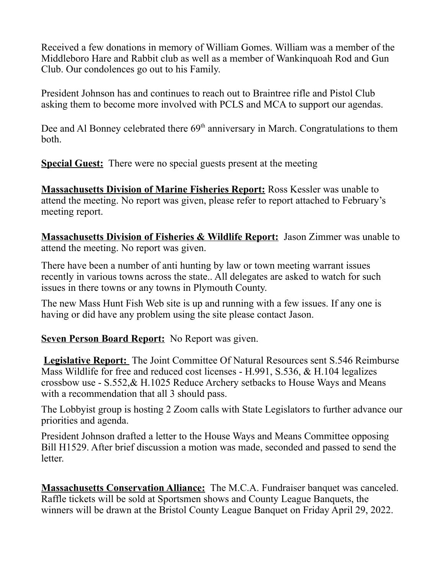Received a few donations in memory of William Gomes. William was a member of the Middleboro Hare and Rabbit club as well as a member of Wankinquoah Rod and Gun Club. Our condolences go out to his Family.

President Johnson has and continues to reach out to Braintree rifle and Pistol Club asking them to become more involved with PCLS and MCA to support our agendas.

Dee and Al Bonney celebrated there  $69<sup>th</sup>$  anniversary in March. Congratulations to them both.

**Special Guest:** There were no special guests present at the meeting

**Massachusetts Division of Marine Fisheries Report:** Ross Kessler was unable to attend the meeting. No report was given, please refer to report attached to February's meeting report.

**Massachusetts Division of Fisheries & Wildlife Report:** Jason Zimmer was unable to attend the meeting. No report was given.

There have been a number of anti hunting by law or town meeting warrant issues recently in various towns across the state.. All delegates are asked to watch for such issues in there towns or any towns in Plymouth County.

The new Mass Hunt Fish Web site is up and running with a few issues. If any one is having or did have any problem using the site please contact Jason.

## **Seven Person Board Report:** No Report was given.

**Legislative Report:** The Joint Committee Of Natural Resources sent S.546 Reimburse Mass Wildlife for free and reduced cost licenses - H.991, S.536, & H.104 legalizes crossbow use - S.552,& H.1025 Reduce Archery setbacks to House Ways and Means with a recommendation that all 3 should pass.

The Lobbyist group is hosting 2 Zoom calls with State Legislators to further advance our priorities and agenda.

President Johnson drafted a letter to the House Ways and Means Committee opposing Bill H1529. After brief discussion a motion was made, seconded and passed to send the letter.

**Massachusetts Conservation Alliance:** The M.C.A. Fundraiser banquet was canceled. Raffle tickets will be sold at Sportsmen shows and County League Banquets, the winners will be drawn at the Bristol County League Banquet on Friday April 29, 2022.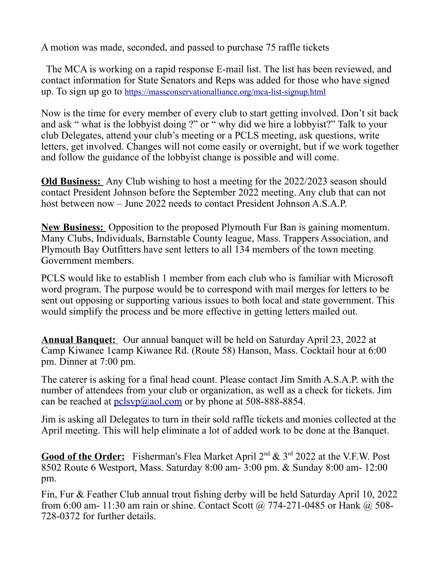A motion was made, seconded, and passed to purchase 75 raffle tickets

 The MCA is working on a rapid response E-mail list. The list has been reviewed, and contact information for State Senators and Reps was added for those who have signed up. To sign up go to <https://massconservationalliance.org/mca-list-signup.html>

Now is the time for every member of every club to start getting involved. Don't sit back and ask " what is the lobbyist doing ?" or " why did we hire a lobbyist?" Talk to your club Delegates, attend your club's meeting or a PCLS meeting, ask questions, write letters, get involved. Changes will not come easily or overnight, but if we work together and follow the guidance of the lobbyist change is possible and will come.

**Old Business:** Any Club wishing to host a meeting for the 2022/2023 season should contact President Johnson before the September 2022 meeting. Any club that can not host between now – June 2022 needs to contact President Johnson A.S.A.P.

**New Business:** Opposition to the proposed Plymouth Fur Ban is gaining momentum. Many Clubs, Individuals, Barnstable County league, Mass. Trappers Association, and Plymouth Bay Outfitters have sent letters to all 134 members of the town meeting Government members.

PCLS would like to establish 1 member from each club who is familiar with Microsoft word program. The purpose would be to correspond with mail merges for letters to be sent out opposing or supporting various issues to both local and state government. This would simplify the process and be more effective in getting letters mailed out.

**Annual Banquet:** Our annual banquet will be held on Saturday April 23, 2022 at Camp Kiwanee 1camp Kiwanee Rd. (Route 58) Hanson, Mass. Cocktail hour at 6:00 pm. Dinner at 7:00 pm.

The caterer is asking for a final head count. Please contact Jim Smith A.S.A.P. with the number of attendees from your club or organization, as well as a check for tickets. Jim can be reached at  $pclsg@aol.com$  or by phone at 508-888-8854.

Jim is asking all Delegates to turn in their sold raffle tickets and monies collected at the April meeting. This will help eliminate a lot of added work to be done at the Banquet.

Good of the Order: Fisherman's Flea Market April 2<sup>nd</sup> & 3<sup>rd</sup> 2022 at the V.F.W. Post 8502 Route 6 Westport, Mass. Saturday 8:00 am- 3:00 pm. & Sunday 8:00 am- 12:00 pm.

Fin, Fur & Feather Club annual trout fishing derby will be held Saturday April 10, 2022 from 6:00 am- 11:30 am rain or shine. Contact Scott @ 774-271-0485 or Hank @ 508-728-0372 for further details.